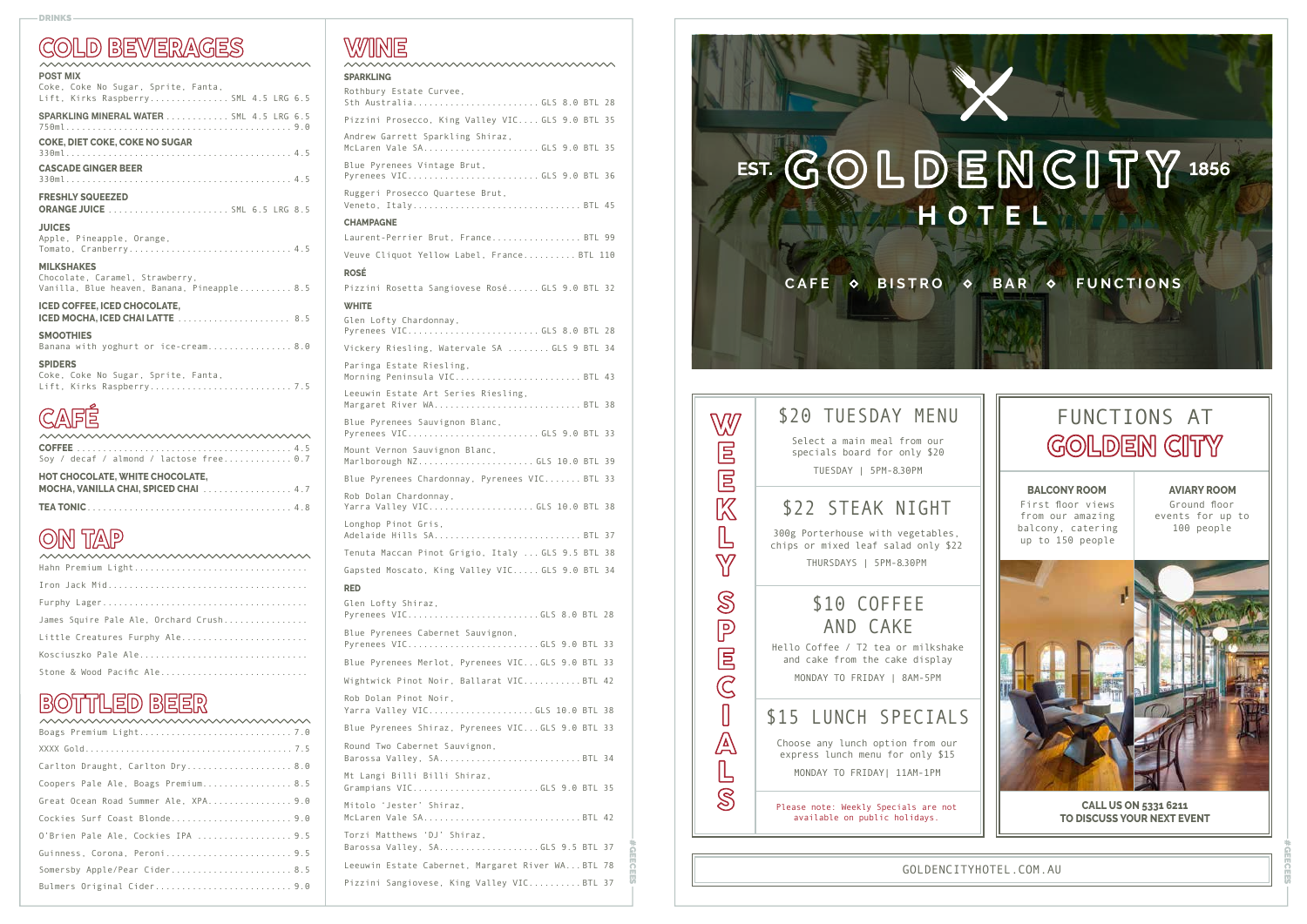**CALL US ON 5331 6211 TO DISCUSS YOUR NEXT EVENT** 

### **COLD BEVERAGES**

| <b>POST MIX</b>                                                                |
|--------------------------------------------------------------------------------|
| Coke, Coke No Sugar, Sprite, Fanta,<br>Lift, Kirks Raspberry SML 4.5 LRG 6.5   |
| SPARKLING MINERAL WATER  SML 4.5 LRG 6.5                                       |
| <b>COKE, DIET COKE, COKE NO SUGAR</b>                                          |
| <b>CASCADE GINGER BEER</b>                                                     |
| <b>FRESHLY SQUEEZED</b>                                                        |
| <b>JUICES</b>                                                                  |
| Apple, Pineapple, Orange,<br>Tomato, Cranberry 4.5                             |
| <b>MILKSHAKES</b>                                                              |
| Chocolate, Caramel, Strawberry,<br>Vanilla, Blue heaven, Banana, Pineapple 8.5 |
| <b>ICED COFFEE. ICED CHOCOLATE.</b>                                            |
| <b>SMOOTHIES</b>                                                               |
| Banana with yoghurt or ice-cream 8.0                                           |
| <b>SPIDERS</b>                                                                 |
| Coke, Coke No Sugar, Sprite, Fanta,                                            |
|                                                                                |

# **CAFÉ**

| mmmmmmmmmmmmmm                              |
|---------------------------------------------|
|                                             |
| Soy / decaf / almond / lactose free 0.7     |
| <b>HOT CHOCOLATE, WHITE CHOCOLATE,</b>      |
| <b>MOCHA, VANILLA CHAI, SPICED CHAI</b> 4.7 |
|                                             |

### **ON TAP**

| Hahn Premium Light                   |
|--------------------------------------|
|                                      |
|                                      |
| James Squire Pale Ale, Orchard Crush |
| Little Creatures Furphy Ale          |
| Kosciuszko Pale Ale                  |
| Stone & Wood Pacific Ale             |

### **BOTTLED BEER**

| /VVVVVVVVVVVVVVVVVVVVVVVVVVVVVVVVVVVV |
|---------------------------------------|
|                                       |
| Carlton Draught, Carlton Dry 8.0      |
| Coopers Pale Ale, Boags Premium 8.5   |
|                                       |
| Cockies Surf Coast Blonde9.0          |
| 0'Brien Pale Ale, Cockies IPA  9.5    |
| Guinness, Corona, Peroni9.5           |
|                                       |
| Bulmers Original Cider9.0             |
|                                       |

# WINE

| <b>SPARKLING</b>                                                  |                 |
|-------------------------------------------------------------------|-----------------|
| Rothbury Estate Curvee,<br>Sth AustraliaGLS 8.0 BTL 28            |                 |
| Pizzini Prosecco, King Valley VIC GLS 9.0 BTL 35                  |                 |
| Andrew Garrett Sparkling Shiraz,<br>McLaren Vale SAGLS 9.0 BTL 35 |                 |
| Blue Pyrenees Vintage Brut,<br>Pyrenees VICGLS 9.0 BTL 36         |                 |
| Ruggeri Prosecco Quartese Brut,<br>Veneto, ItalyBTL 45            |                 |
| <b>CHAMPAGNE</b>                                                  |                 |
| Laurent-Perrier Brut, FranceBTL 99                                |                 |
| Veuve Cliquot Yellow Label, France BTL 110                        |                 |
| <b>ROSÉ</b>                                                       |                 |
| Pizzini Rosetta Sangiovese Rosé GLS 9.0 BTL 32                    |                 |
| <b>WHITE</b>                                                      |                 |
| Glen Lofty Chardonnay,<br>Pyrenees VICGLS 8.0 BTL 28              |                 |
| Vickery Riesling, Watervale SA  GLS 9 BTL 34                      |                 |
| Paringa Estate Riesling,<br>Morning Peninsula VIC BTL 43          |                 |
| Leeuwin Estate Art Series Riesling,<br>Margaret River WABTL 38    |                 |
| Blue Pyrenees Sauvignon Blanc,<br>Pyrenees VICGLS 9.0 BTL 33      |                 |
| Mount Vernon Sauvignon Blanc,<br>Marlborough NZGLS 10.0 BTL 39    |                 |
| Blue Pyrenees Chardonnay, Pyrenees VIC BTL 33                     |                 |
| Rob Dolan Chardonnay,<br>Yarra Valley VICGLS 10.0 BTL 38          |                 |
| Longhop Pinot Gris,<br>Adelaide Hills SABTL 37                    |                 |
| Tenuta Maccan Pinot Grigio, Italy  GLS 9.5 BTL 38                 |                 |
| Gapsted Moscato, King Valley VIC GLS 9.0 BTL 34                   |                 |
| <b>RED</b>                                                        |                 |
| Glen Lofty Shiraz,<br>Pyrenees VICGLS 8.0 BTL 28                  |                 |
| Blue Pyrenees Cabernet Sauvignon,<br>Pyrenees VICGLS 9.0 BTL 33   |                 |
| Blue Pyrenees Merlot, Pyrenees VIC GLS 9.0 BTL 33                 |                 |
| Wightwick Pinot Noir, Ballarat VICBTL 42                          |                 |
| Rob Dolan Pinot Noir,<br>Yarra Valley VICGLS 10.0 BTL 38          |                 |
| Blue Pyrenees Shiraz, Pyrenees VICGLS 9.0 BTL 33                  |                 |
| Round Two Cabernet Sauvignon,                                     |                 |
| Barossa Valley, SABTL 34                                          |                 |
| Mt Langi Billi Billi Shiraz,<br>Grampians VICGLS 9.0 BTL 35       |                 |
| Mitolo 'Jester' Shiraz,<br>McLaren Vale SABTL 42                  |                 |
| Torzi Matthews 'DJ' Shiraz,<br>Barossa Valley, SAGLS 9.5 BTL 37   |                 |
| Leeuwin Estate Cabernet, Margaret River WABTL 78                  | <b>PARTICLE</b> |
| Pizzini Sangiovese, King Valley VICBTL 37                         |                 |

#### DRINKS

GOLDENCITYHOTEL.COM.AU

## FUNCTIONS AT **GOLDEN CITY**

First floor views from our amazing balcony, catering up to 150 people

Ground floor events for up to 100 people

**#GEECEES** 



#### **BALCONY ROOM AVIARY ROOM**